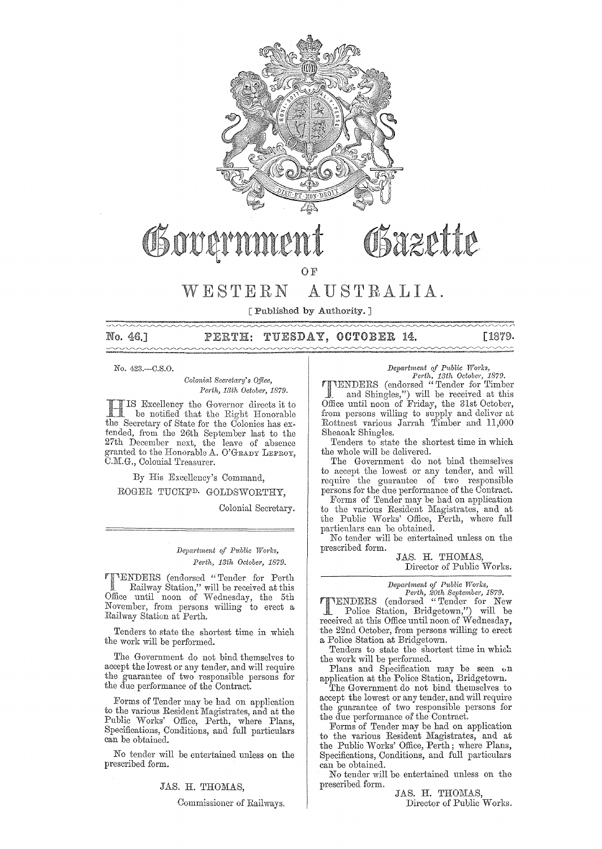

# Obazette

OF

# WESTERN AUSTRALIA.

[Published by Authority.]

No. 46.1

#### TUESDAY, OCTOBER 14. [1879. PERTH:

No. 423.-C.S.0.

*Colonial Secretary's Office. Perth, 13th October, 1879.* 

Excellency the Governor directs it to be notified that the Right Honorable the Secretary of State for the Colonies has extended, from the 26th September last to the 27th December next, the leave of absence granted to the Honorable A. O'GRADY LEFROY, C.M.G., Colonial Treasurer.

By His Excellency's Command,

ROGER TUCKFD. GOLDSWORTHY,

Colonial Secretary.

#### *Department of Public Works, Perth, 13th October, 1879.*

rfENDERS (endorsed "Tender for Perth \_ Railway Station," will be received at this Office until noon of Wednesday, the 5th November, from persons willing to erect a Railway Station at Perth.

Tenders to state the shortest time in which the work will be performed.

The Government do not bind themselves to accept the iowest or any tender, and will require the guarantee of two responsible persons for the due performance of the Contract.

Forms of Tender may be had on application to the various Resident Magistrates, and at the Public Works' Office, Perth, where Plans,  ${\rm Specifications},$  Conditions, and full particulars can be obtained.

No tender will be entertained unless on the prescribed form.

#### JAS. H. THOMAS,

Commissioner of Railways.

### *Department of Public Works,*<br> *Perth, 13th October, 1879.*

**TIENDERS** (endorsed "Tender for Timber<br>and Shingles,") will be received at this<br>Office until noon of Friday, the 31st October, from persons willing to supply and deliver at Rottnest various Jarrah Timber and 11,000 Sheaoak Shingles.

Tenders to state the shortest time in which the whole will be delivered.

The Government do not bind themselves to accept the lowest or any tender, and will require the guamntee of two responsible persons for the due performance of the Contract.

Forms of Tender may be had on application to the various Resident Magistrates, and at the Public Works' Office, Perth, where full particulars can be obtained.

No tender will be entertained unless on the prescribed form.

JAS. H. THOMAS, Director of Public Works.

*Depaj·tment of Public W01'ks,* 

*Perth, 20th September, 1879.*<br>
TENDERS (endorsed "Tender for New<br>
Police Station, Bridgetown,") will be received at this Office until noon of Wednesday, the 22nd October, from persons willing to erect a Police Station at Bridgetown.

Tenders to state the shortest time in which the work will be performed.

Plans and Specification may be seen on application at the Police Station, Bridgetown.

The Government do not bind themselves to accept the lowest or any tender, and will require the guarantee of two responsible persons for the due performance of the Contract.

Forms of Tender may be had on application to the various Resident Magistrates, and at the Public Works' Office, Perth; where Plans, Specifications, Conditions, and full particulars can be obtained.

No tender will be entertained unless on the prescribed form.

JAS. H. THOMAS, Director of Public Works.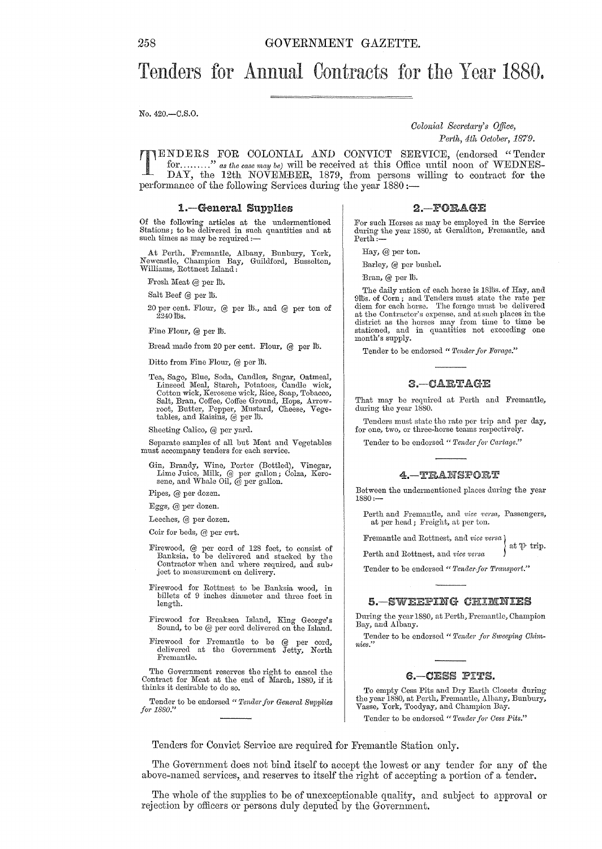# Tenders for Annual Contracts for the Year 1880.

No. 420.-C.S.O.

#### *Colonial Secretcwy'* 8 *o.ffice, Perth, 4th October, 1879.*

TENDERS FOR COLONIAL AND CONVICT SERVICE, (endorsed "Tender for........" as the case may be) will be received at this Office until noon of WEDNES-DAY, the 12th NOVEMBER, 1879, from persons willing to contract for the for ......... " *as the case may be)* will be received at this Office until noon of WEDNES-DAY, the 12th NOVEMBER, 1879, from persons willing to contract for the performance of the following Services during the year 1880 :-

#### 1.-General Supplies

Of the following articles at the undermentioned Stations; to be delivered in such quantities and at such times as may be required :-

At Perth. Fremantle, Albauy, Bunbury, York, Newcastle, Champion Bay, Guildford, Busselton, Williams, Rottnest Island:

Fresh Meat @ per lb.

Salt Beef @ per ID.

20 per cent. Flour, @ per 10., and @ per ton of  $2240$  ths.

Fine Flour, @ per fb.

Bread made from 20 per cent. Flour, @ per lb.

Ditto from Fine Flour, @ per lb.

Tea, Sago, Blue, Soda, Candles, Sugar, Oatmeal, Linseed Meal, Starch, Potatoes, Candle wick, Cotton wick, Keepe wick, Rice, Soap, Tobacco, Salt, Bran, Coffee, Coffee Ground, Hops, Arrow-root, Butter, Pepper, Mustard, Chees

Sheeting Calico, @ per yard.

Separate samples of all but Meat and Vegetables must accompany tenders for each service.

Gin, Brandy, Wine, Porter (Bottled), Vinegar, Lime Juice, Milk, @ per gallon; Colza, Kero-sene, and Whale Oil, @ per gallon.

Pipes, @ per dozen.

Eggs, @ per dozen.

Leeches, @ per dozen.

Coir for beds, @ per cwt.

- Firewood, @ per cord of 128 feet, to consist of Banksia, to be delivered and stacked by the Contractor when and where required, and sub-<br>ject to measurement on delivery.
- Firewood for Rottnest to be Banksia wood, in billets of 9 inches diameter and three feet in length.
- Firewood for Breaksea Island, King George's<br>Sound, to be @ per cord delivered on the Island.
- Firewood for Fremantle to be @ per cord,<br>delivered at the Government Jetty, North Fremantle.

The Government reserves the right to cancel the Contract for Meat at the end of March, 1880, if it thinks it desirable to do so.

Tender to be endorsed " Tender for General Supplies *for 1880."* 

2.-FORAGE

For such Horses as may be employed in the Service during the year 1880, at Geraldton, Fremantle, and Perth:-

Hay, @ per ton.

Barley, @ per bushel.

Bran, @ per lb.

The daily ration of each horse is 1815s. of Hay, and 915s. of Corn; and Tenders must state the rate per diem for each horse. The forage must be delivered at the Contractor's expense, and at such places in the district as the horses may from time to time be stationed, and in quantities not exceeding one month's supply.

Tender to be endorsed " Tender for Forage."

#### 3.-CARTAGE

That may be required at Perth and Fremantle, during the year 1880.

Tenders must state the rate per trip and per day, for one, two, or three-horse teams respectively.

Tender to be endorsed " Tender for Cartage."

#### 4. TRANSPORT

Between the undermentioned places during the year 1880:-

Perth and Fremantle, and *vice versa*, Passengers, at per head; Freight, at per ton.

Fremantle and Rottnest, and *vice versa* ) at  $\mathfrak{P}$  trip.

Perth and Rottnest, and *vice versa* 

Tender to be endorsed " Tender for Transport."

#### 5.-SWEEPING

During the year 1880, at Perth, Fremantle, Champion Bay, and Albany.

Tender to be endorsed " Tender for Sweeping Chim $nies.$ 

#### 6. - CESS PITS.

To empty Cess Pits and Dry Earth Closets during the year 1880, at Perth, Fremantle, Albany, Bunbury, Vasse, York, Toodyay, and Champion Bay. Tender to be endorsed " Tender for Cess Pits."

Tenders for Convict Service are required for Fremantle Station only.

The Government does not bind itself to accept the lowest or any tender for any of the above-named services, and reserves to itself the right of accepting a portion of a tender.

The whole of the supplies to be of unexceptionable quality, and subject to approval or rejection by officers or persons duly deputed by the Government.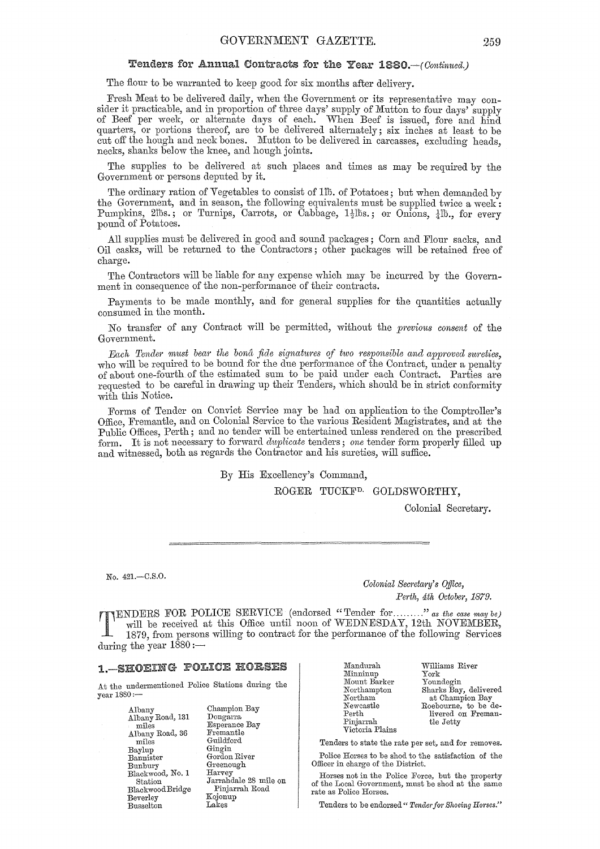#### Tenders for Annual Contracts for the Year 1880. - (Continued.)

The flour to be warranted to keep good for six months after delivery.

Fresh Meat to be delivered daily, when the Government or its representative may consider it practicable, and in proportion of three days' supply of Mutton to four days' supply of Beef per week, or alternate days of each. When Beef is issued, fore and hind quarters, or portions thereof, are to be delivered alternately; six inches at least to be cut off the hough and neck bones. Mutton to be delivered in carcasses, excluding heads, necks, shanks below the knee, and hough joints.

The supplies to be delivered at such places and times as may be required by the Government or persons deputed by it.

The ordinary ration of Vegetables to consist of 1<sup>th</sup>. of Potatoes; but when demanded by the Government, and in season, the following equivalents must be supplied twice a week: Pumpkins, 2lbs.; or Turnips, Carrots, or  $\bar{\text{C}}$ abbage,  $1\frac{1}{2}$ lbs.; or Onions,  $\frac{1}{4}$ lb., for every pound of Potatoes.

All supplies must be delivered in good and sound packages; Corn and Flour sacks, and Oil casks, 'will be returned to the Oontractors; other packages will be retained free of charge.

The Contractors will be liable for any expense which may be incurred by the Government in consequence of the non-performance of their contracts.

Payments to be made monthly, and for general supplies for the quantities actually consumed in the month.

No transfer of any Contract will be permitted, without the *previous consent* of the Government.

*Fach Tender must bear the bona fide signatures of two responsible and approved sureties,* who will be required to be bound for the due performance of the Contract, under a penalty of about one-fourth of the estimated sum to be paid under each Oontract. Parties are requested to be careful in drawing up their Tenders, which should be in strict conformity with this Notice.

Forms of Tender on Oonvict Service may be had on application to the Oomptroller's Office Fremantle, and on Oolonial Service to the various Resident Magistrates, and at the Public Offices, Perth; and no tender will be entertained unless rendered on the prescribed form. It is not necessary to forward *duplicate* tenders; *one* tender form properly filled up and witnessed, both as regards the Oontractor and his sureties, will suffice.

By His Excellency's Command,

ROGER TUCKF<sup>D.</sup> GOLDSWORTHY,

Oolonial Secretary.

No. 421.-C.S.0.

*Colonial Secretary's Office, Perth, 4th Octobe1', 1879.* 

TENDERS FOR POLICE SERVICE (endorsed "Tender for ........." *as the case may be*) will be received at this Office until noon of WEDNESDAY, 12th NOVEMBER, 1879, from persons willing to contract for the performance of the fo will be received at this Office until noon of WEDNESDAY, 12th NOVEMBER, 1879, from persons willing to contract for the performance of the following Services during the year **1880:-**

#### 1.-SHOEING POLICE HORSES

.A.t the undermentioned Police Stations during the year 1880:-

> .A.lbany .A.lbany Road, 131 miles Albany Road, 36 miles Baylup Bannister Bunbury Blackwood, No. 1 Station BlackwoodBridge Beverley Busselton

Champion Bay Dongarra Esperance Bay Fremantle Guildford Gingin Gordon River Greenough Harvey J arrahdale 28 mile on Pinjarrah Road Kojonup Lakes

Mandurah Minninup Mount Barker Northampton Northam Newcastle Perth Pinjarrah Victoria Plains Williams River York Youndegin Sharks Bay, delivered at Champion Bay Roebourne, to be delivered on Fremantle Jetty

Tenders to state the rate per set, and for removes.

Police Horses to be shod to the satisfaction of the Officer in charge of the District.

Horses not in the Police Force, but the property of the Local Government, must be shod at the same rate as Police Horses.

Tenders to be endorsed " Tender for Shoeing Horses."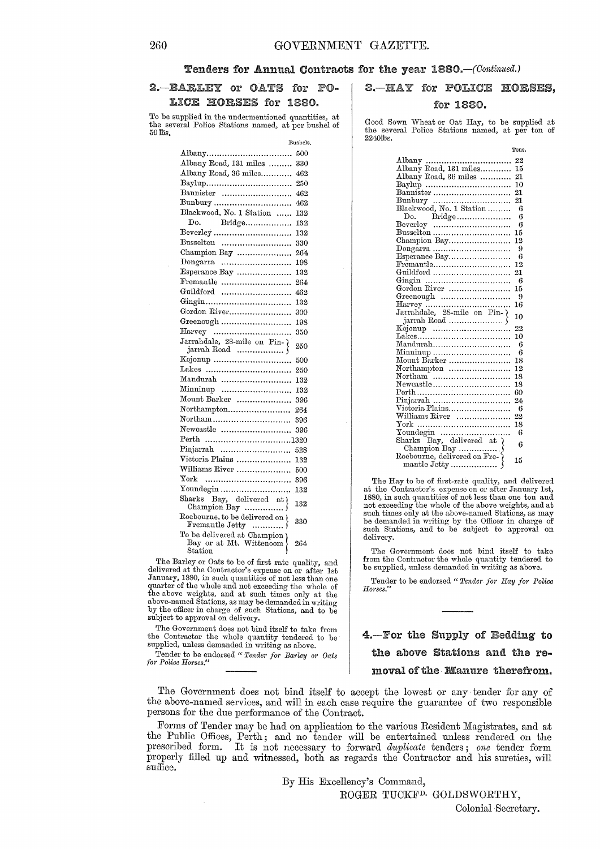#### Tenders for Annual Contracts for the year 1880.-(Continued.)

#### 2.-BARLEY or OATS for LICE HORSES for 1880.

To be supplied in the undermentioned quantities, at the several Police Stations named, at per bushel of 50 liis.

|                                                                                                                                                                                                                                                                                                                                                                                                                                                                                                                                                              | Bushels, |
|--------------------------------------------------------------------------------------------------------------------------------------------------------------------------------------------------------------------------------------------------------------------------------------------------------------------------------------------------------------------------------------------------------------------------------------------------------------------------------------------------------------------------------------------------------------|----------|
| Albany                                                                                                                                                                                                                                                                                                                                                                                                                                                                                                                                                       | 500      |
| Albany Road, 131 miles                                                                                                                                                                                                                                                                                                                                                                                                                                                                                                                                       | 330      |
| Albany Road, 36 miles                                                                                                                                                                                                                                                                                                                                                                                                                                                                                                                                        | 462      |
|                                                                                                                                                                                                                                                                                                                                                                                                                                                                                                                                                              | 250      |
| Bannister                                                                                                                                                                                                                                                                                                                                                                                                                                                                                                                                                    | 462      |
| Bunbury                                                                                                                                                                                                                                                                                                                                                                                                                                                                                                                                                      | 462      |
| Blackwood, No. 1 Station                                                                                                                                                                                                                                                                                                                                                                                                                                                                                                                                     | 132      |
| Bridge<br>Do.                                                                                                                                                                                                                                                                                                                                                                                                                                                                                                                                                | 132      |
|                                                                                                                                                                                                                                                                                                                                                                                                                                                                                                                                                              | 132      |
| Busselton                                                                                                                                                                                                                                                                                                                                                                                                                                                                                                                                                    | 330      |
| Champion Bay                                                                                                                                                                                                                                                                                                                                                                                                                                                                                                                                                 | 264      |
|                                                                                                                                                                                                                                                                                                                                                                                                                                                                                                                                                              | 198      |
| Esperance Bay                                                                                                                                                                                                                                                                                                                                                                                                                                                                                                                                                | 132      |
| $\begin{minipage}{.4\linewidth} \textbf{Frame} \end{minipage} \begin{minipage}{.4\linewidth} \textbf{Frame} \end{minipage} \begin{minipage}{.4\linewidth} \textbf{Frame} \end{minipage} \begin{minipage}{.4\linewidth} \textbf{Frame} \end{minipage} \begin{minipage}{.4\linewidth} \textbf{Frame} \end{minipage} \begin{minipage}{.4\linewidth} \textbf{Frame} \end{minipage} \begin{minipage}{.4\linewidth} \textbf{Frame} \end{minipage} \begin{minipage}{.4\linewidth} \textbf{Frame} \end{minipage} \begin{minipage}{.4\linewidth} \textbf{Frame} \end$ | 264      |
| Guildford                                                                                                                                                                                                                                                                                                                                                                                                                                                                                                                                                    | 462      |
|                                                                                                                                                                                                                                                                                                                                                                                                                                                                                                                                                              | 132      |
| Gordon River                                                                                                                                                                                                                                                                                                                                                                                                                                                                                                                                                 | 300      |
| Greenough                                                                                                                                                                                                                                                                                                                                                                                                                                                                                                                                                    | 198      |
|                                                                                                                                                                                                                                                                                                                                                                                                                                                                                                                                                              | 350      |
| Jarrahdale, 28-mile on Pin- $\}$                                                                                                                                                                                                                                                                                                                                                                                                                                                                                                                             | 250      |
| jarrah Road $\ldots$<br>Kojonup                                                                                                                                                                                                                                                                                                                                                                                                                                                                                                                              |          |
| Lakes                                                                                                                                                                                                                                                                                                                                                                                                                                                                                                                                                        | 500      |
| Mandurah                                                                                                                                                                                                                                                                                                                                                                                                                                                                                                                                                     | 250      |
|                                                                                                                                                                                                                                                                                                                                                                                                                                                                                                                                                              | 132      |
| Minninup                                                                                                                                                                                                                                                                                                                                                                                                                                                                                                                                                     | 132      |
| Mount Barker                                                                                                                                                                                                                                                                                                                                                                                                                                                                                                                                                 | 396      |
| Northampton<br>$\text{Northam}$ ,,,,,,,,,,,,,,,,,,,,,,,,,,,,,,,                                                                                                                                                                                                                                                                                                                                                                                                                                                                                              | 264      |
|                                                                                                                                                                                                                                                                                                                                                                                                                                                                                                                                                              | 396      |
| Newcastle                                                                                                                                                                                                                                                                                                                                                                                                                                                                                                                                                    | 396      |
| Perth 1320                                                                                                                                                                                                                                                                                                                                                                                                                                                                                                                                                   |          |
| Pinjarrah                                                                                                                                                                                                                                                                                                                                                                                                                                                                                                                                                    | 528      |
| Victoria Plains                                                                                                                                                                                                                                                                                                                                                                                                                                                                                                                                              | 132      |
| Williams River                                                                                                                                                                                                                                                                                                                                                                                                                                                                                                                                               | 500      |
|                                                                                                                                                                                                                                                                                                                                                                                                                                                                                                                                                              | 396      |
| Youndegin                                                                                                                                                                                                                                                                                                                                                                                                                                                                                                                                                    | 132      |
| Sharks Bay, delivered at )                                                                                                                                                                                                                                                                                                                                                                                                                                                                                                                                   | 132      |
| Roebourne, to be delivered on $\mathfrak h$<br>Fremantle Jetty                                                                                                                                                                                                                                                                                                                                                                                                                                                                                               | 330      |
| To be delivered at Champion<br>Bay or at Mt. Wittenoom<br>Station                                                                                                                                                                                                                                                                                                                                                                                                                                                                                            | 264      |
| 011120<br>$\mathbf{B}$                                                                                                                                                                                                                                                                                                                                                                                                                                                                                                                                       |          |

The Barley or Oats to be of first rate quality, and delivered at the Contractor's expense on or after 1st January, 1880, in such quantities of not less than one quarter of the whole and not exceeding the whole of<br>the above weights, and at such times only at the<br>above-named Stations, as may be demanded in writing<br>by the officer in charge of such Stations, and to be<br>subject to appro

The Government does not bind itself to take from the Contractor the whole quantity tendered to be supplied, unless demanded in writing as above.

Tender to be endorsed " Tender for Barley or Oats *for Police Horses."* 

3. HAY for POLICE HORSES.

#### for 1880.

Good Sown 'Wheat or Oat Hay, to be supplied at the several Police Stations named, at per ton of 22401bs.

|                                         | Tons.   |
|-----------------------------------------|---------|
|                                         | 22      |
|                                         | 15      |
| Albany Road, 36 miles                   | 21      |
| Baylup                                  | 10      |
| Bannister                               | $^{21}$ |
|                                         | 21      |
| Bunbury<br>Blackwood, No. 1 Station     | -6      |
|                                         | 6       |
|                                         | -6      |
| Busselton                               | 15      |
| Champion Bay                            | 12      |
| $\rm{Dongarra}$                         | 9       |
| Esperance Bay                           | 6       |
| Fremantle                               | 12      |
| Guildford                               | 21      |
|                                         | 6       |
| Gordon River                            | 15      |
| Greenough                               | 9       |
|                                         | 16      |
|                                         | 10      |
|                                         | 22      |
|                                         | 10      |
| Mandurah                                | - 6     |
| Minninup                                | -6      |
| Mount Barker                            | 18      |
| Northampton                             | 12      |
| Northam                                 | 18      |
| Newcastle                               | 18      |
|                                         | 60      |
| Pinjarrah                               | 24      |
| Victoria Plains                         | 6       |
| Williams River                          | 22      |
|                                         | 18      |
|                                         | 6       |
| Youndegin<br>Sharks Bay, delivered at } |         |
|                                         | 6       |
|                                         |         |
|                                         | 15      |
| mantle Jetty                            |         |

The Hay to be of first-rate quality, and delivered at the Contractor's expense on or after January 1st, 1880, in such quantities of not less than one ton and not exceeding the whole of the above weights, and at such times only at the above-named Stations, as may be demanded in writing by the Officer in charge of such Stations, and to be subject to approval on delivery.

The Government does not bind itself to take<br>from the Contractor the whole quantity tendered to<br>be supplied, unless demanded in writing as above.

Tender to be endorsed " Tender for Hay for Police  $Horses.$ <sup>\*</sup>

4.-For the Supply of Bedding to the above Stations and the removalofthe Manure therefrom.

The Government does not bind itself to accept the lowest or any tender for any of the above-named services, and will in each case require the guarantee of two responsible persons for the due performance of the Contract.

Forms of Tender may be had on application to the various Resident Magistrates, and at the Public Offices, Perth; and no tender will be entertained unless rendered on the prescribed form. It is not necessary to forward *duplicate* tenders; *one* tender form properly filled up and witnessed, both as regards the Contractor and his sureties, will suffice.

By His Excellency'S Command,

ROGER TUCKF<sup>D.</sup> GOLDSWORTHY,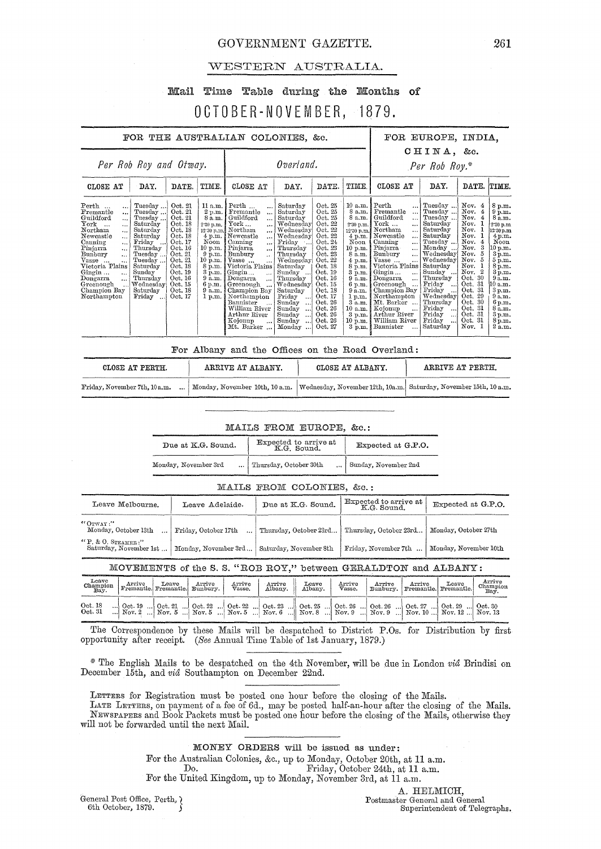#### GOVERNMENT GAZETTE. 261

#### WESTERN AUSTRALIA.

# Mail Time Table during the Months of OCTOBER-NOVEMBER, 1879.

| FOR THE AUSTRALIAN COLONIES, &c.                                                                                                                                                                                                                                                                                                                                                                                                                                                                                                                 |                                                                                                                                                                              |                                                                                                                                    | FOR EUROPE, INDIA.                                                                                                                                                                                                                                                                                                                                                                                                                                           |                                                                                                                                                                                                                                                                                                     |                                                                                                                                                                                                                                     |                                                                                                                                                                                                                                      |                                                                                                                                                                                                                                                                                                                                                                                                      |                                                                                                                                                                                                                                                                                 |                                                                                                                                                                                                                          |                                                                                                                                                                                                                                          |
|--------------------------------------------------------------------------------------------------------------------------------------------------------------------------------------------------------------------------------------------------------------------------------------------------------------------------------------------------------------------------------------------------------------------------------------------------------------------------------------------------------------------------------------------------|------------------------------------------------------------------------------------------------------------------------------------------------------------------------------|------------------------------------------------------------------------------------------------------------------------------------|--------------------------------------------------------------------------------------------------------------------------------------------------------------------------------------------------------------------------------------------------------------------------------------------------------------------------------------------------------------------------------------------------------------------------------------------------------------|-----------------------------------------------------------------------------------------------------------------------------------------------------------------------------------------------------------------------------------------------------------------------------------------------------|-------------------------------------------------------------------------------------------------------------------------------------------------------------------------------------------------------------------------------------|--------------------------------------------------------------------------------------------------------------------------------------------------------------------------------------------------------------------------------------|------------------------------------------------------------------------------------------------------------------------------------------------------------------------------------------------------------------------------------------------------------------------------------------------------------------------------------------------------------------------------------------------------|---------------------------------------------------------------------------------------------------------------------------------------------------------------------------------------------------------------------------------------------------------------------------------|--------------------------------------------------------------------------------------------------------------------------------------------------------------------------------------------------------------------------|------------------------------------------------------------------------------------------------------------------------------------------------------------------------------------------------------------------------------------------|
| Per Rob Roy and Otway.                                                                                                                                                                                                                                                                                                                                                                                                                                                                                                                           |                                                                                                                                                                              |                                                                                                                                    |                                                                                                                                                                                                                                                                                                                                                                                                                                                              | Overland.                                                                                                                                                                                                                                                                                           |                                                                                                                                                                                                                                     | $CHINA$ , &c.<br>$Per Rob Roy.*$                                                                                                                                                                                                     |                                                                                                                                                                                                                                                                                                                                                                                                      |                                                                                                                                                                                                                                                                                 |                                                                                                                                                                                                                          |                                                                                                                                                                                                                                          |
| CLOSE AT<br>DAY.                                                                                                                                                                                                                                                                                                                                                                                                                                                                                                                                 | DATE.                                                                                                                                                                        | TIME.                                                                                                                              | CLOSE AT                                                                                                                                                                                                                                                                                                                                                                                                                                                     | DAY.                                                                                                                                                                                                                                                                                                | DATE.                                                                                                                                                                                                                               | TIME.                                                                                                                                                                                                                                | CLOSE AT                                                                                                                                                                                                                                                                                                                                                                                             | DAY.                                                                                                                                                                                                                                                                            | DATE.                                                                                                                                                                                                                    | TIME.                                                                                                                                                                                                                                    |
| Perth<br>Tuesday<br><br>Tuesday<br>Fremantle<br><br>Guildford<br>Tuesday<br><br>York<br>Saturday<br><br>Northam<br>Saturday<br>$\ddot{\phantom{a}}$<br>Newcastle<br>Saturday<br>$\ddotsc$<br>Canning<br>Friday<br>$\ddotsc$<br>Pinjarra<br>Thursday<br>$\ddotsc$<br>Bunbury<br>Tuesday<br>$\ddotsc$<br>Vasse<br>Tuesday<br>$\ddotsc$<br>Victoria Plains<br>Saturday<br>Sunday<br>Gingin<br>$\ddot{\phantom{a}}$<br>Dongarra<br>Thursday<br>$\ddotsc$<br>Greenough<br>Wednesday<br>Champion Bay<br>Saturday<br>Northampton<br>Friday<br>$\ddotsc$ | Oct. 21<br>Oct. 21<br>Oct. 21<br>Oct. 18<br>Oct. 18<br>Oct. 18<br>Oct. 17<br>Oct. 16<br>Oct. 21<br>Oct. 21<br>Oct. 18<br>Oct. 19<br>Oct. 16<br>Oct. 15<br>Oct. 18<br>Oct. 17 | 11 a.m.<br>2 p.m.<br>8 a.m.<br>2'30 p.m.<br>Noon<br>10 p.m.<br>$9 \text{ p.m.}$<br>10 p.m.<br>8 p.m.<br>9 a.m.<br>9 a.m.<br>1 p.m. | Perth<br>$\cdots$<br>Fremantle<br>$\ddotsc$<br>Guildford<br>$\cdots$<br>York<br>$\cdots$<br>12.30 p.m. Northam<br><br>4 p.m. Newcastle<br>$\ddotsc$<br>Canning<br>$\cdots$<br>Pinjarra<br>$\cdots$<br>Bunbury<br>.<br>Vasse<br>Victoria Plains<br>3 p.m.   Gingin<br>$\dddotsc$<br>Dongarra<br>$\ddotsc$<br>6 p.m.   Greenough<br>$\ddotsc$<br>Champion Bay<br>Northampton<br>Bannister<br>$\cdot$<br>William River<br>Arthur River<br>Kojonup<br>Mt. Barker | Saturday<br>Saturday<br>Saturday<br>Wednesday<br>Wednesday<br>Wednesday<br>Friday<br>Thursday<br>Thursday<br>Wednesday<br>Saturday<br>Sunday<br>Thursday<br>Wednesday<br>Saturday<br>Friday<br>$\ddots$<br>Sunday<br><br>Sunday<br>$\ddots$<br>Sunday<br>$\ddotsc$<br>Sunday<br>Monday<br>$\ddotsc$ | Oct. 25<br>Oct. 25<br>Oct. 25<br>Oct. 22<br>Oct. 22<br>Oct. 22<br>Oct. 24<br>Oct. 23<br>Oct. 23<br>Oct. 22<br>Oct. 18<br>Oct. 19<br>Oct. 16<br>Oct. 15<br>Oct. 18<br>Oct. 17<br>Oct. 26<br>Oct. 26<br>Oct. 26<br>Oct. 26<br>Oct. 27 | 10 a.m.<br>8 a.m.<br>8 a.m.<br>2'30 p.m.<br>12:30 p.m.<br>$4 \text{ p.m.}$<br>Noon<br>10 p.m.<br>8 a.m.<br>4 p.m.<br>8 p.m.<br>3 p.m.<br>9 a.m.<br>$6$ p.m.<br>9 a.m.<br>1 p.m.<br>3a.m.<br>10 a.m.<br>3 p.m.<br>$10$ p.m.<br>3 p.m. | Perth<br>Fremantle<br>Guildford<br>$\cdots$<br>York<br>$\ddotsc$<br>Northam<br>$\ddotsc$<br>Newcastle<br>$\cdots$<br>Canning<br><br>Pinjarra<br>$\ddotsc$<br>Bunbury<br>$\cdots$<br>Vasse<br><br>Victoria Plains<br>Gingin<br>$\ddotsc$<br>Dongarra<br><br>Greenough<br>Champion Bay<br>Northampton<br>Mt. Barker<br>Kojonup<br>$\ddotsc$<br>Arthur River<br>William River<br>Bannister<br>$\ddotsc$ | Tuesday<br>Tuesday<br>Tuesday<br>Saturday<br>Saturday<br>Saturday<br>Tuesday<br>Monday<br>Wednesday<br>Wednesday<br>Saturday<br>Sunday<br>Thursday<br>Friday<br>$\ddotsc$<br>Friday<br>Wednesday<br>Thursday<br>Friday<br>$\cdots$<br>Friday<br>$\ddotsc$<br>Friday<br>Saturday | Nov. 4<br>Nov.<br>4<br>Nov.<br>Nov.<br>Now. 1<br>Nov.<br>Nov.<br>4<br>Nov.<br>3<br>Nov.<br>Nov. 5<br>Nov. 1<br>Nov. 2<br>Oct. $30$<br>Oct. 31<br>Oct.31<br>Oct. 29<br>Oct. 30<br>Oct. 31<br>Oct. 31<br>Oct. 31<br>Nov. 1 | 8 p.m.<br>9 p.m.<br>8 a.m.<br>2 30 p.m.<br>12.30 p.m<br>$4 \,\mathrm{p.m.}$<br>Noon<br>10 p.m.<br>3p.m.<br>$5 \, \mathrm{m}$ .<br>8 p.m.<br>3p.m.<br>9a.m.<br>10 a.m.<br>3 p.m.<br>9a.m.<br>6 p.m.<br>8a.m.<br>3 p.m.<br>8 p.m.<br>2a.m. |

|                               |        | For Albany and the Offices on the Road Overland: |  |  |                  |                                                                                                  |
|-------------------------------|--------|--------------------------------------------------|--|--|------------------|--------------------------------------------------------------------------------------------------|
| CLOSE AT PERTH.               |        | ARRIVE AT ALBANY.                                |  |  | CLOSE AT ALBANY. | ARRIVE AT PERTH.                                                                                 |
| Friday, November 7th, 10 a.m. | $\sim$ |                                                  |  |  |                  | Monday, November 10th, 10 a.m. Wednesday, November 12th, 10a.m. Saturday, November 15th, 10 a.m. |

#### MAILS FROM EUROPE, &c.:

| Due at K.G. Sound.   | Expected to arrive at<br>K.G. Sound. | Expected at G.P.O.   |  |  |
|----------------------|--------------------------------------|----------------------|--|--|
| Monday, November 3rd | Thursday, October 30th               | Sunday, November 2nd |  |  |

#### MAILS FROM COLONIES, &c.:

|                                                         | Leave Melbourne.                                                                                                                                                                                       |       | Leave Adelaide.    |                        |                   | Due at K.G. Sound. |                        | Expected to arrive at<br>K.G. Sound. |                      | Expected at G.P.O.             |                            |  |
|---------------------------------------------------------|--------------------------------------------------------------------------------------------------------------------------------------------------------------------------------------------------------|-------|--------------------|------------------------|-------------------|--------------------|------------------------|--------------------------------------|----------------------|--------------------------------|----------------------------|--|
| "0"WAY"<br>Monday, October 13th<br>Friday, October 17th |                                                                                                                                                                                                        |       |                    | Thursday, October 23rd |                   |                    | Thursday, October 23rd |                                      | Monday, October 27th |                                |                            |  |
|                                                         | "P. & O. STEAMER:"<br>Saturday, November 1st<br>Monday, November 10th<br>Monday, November 3rd<br>Saturday, November 8th<br>Friday, November 7th                                                        |       |                    |                        |                   |                    |                        |                                      |                      |                                |                            |  |
|                                                         | MOVEMENTS of the S.S. "ROB ROY," between GERALDTON and ALBANY:                                                                                                                                         |       |                    |                        |                   |                    |                        |                                      |                      |                                |                            |  |
| Leave<br>Champion<br>Bay.                               | Arrive<br>Fremantle. Fremantle.                                                                                                                                                                        | Leave | Arrive<br>Bunbury. | Arrive<br>Vasse.       | Arrive<br>Albany. | Leave<br>Albany.   | Arrive<br>Vasse.       | Arrive<br>Bunbury.                   | Arrive               | Leave<br>Fremantle. Fremantle. | Arrive<br>Champion<br>Bay. |  |
| Oct.18<br>Oct. 31                                       | Oct. 19    Oct. 21    Oct. 22    Oct. 22    Oct. 23    Oct. 25    Oct. 26    Oct. 27    Oct. 29    Oct. 30<br>Nov. 2  Nov. 5  Nov. 5  Nov. 5  Nov. 5  Nov. 6  Nov. 8  Nov. 9  Nov. 9  Nov. 10  Nov. 12 |       |                    |                        |                   |                    |                        |                                      |                      |                                | Nov. 13                    |  |

The Correspondence by these Mails will be despatched to District P.Os. for Distribution by first opportunity after receipt. *(See* Annual Time Table of 1st January, 1879.)

\* The English Mails to be despatched on the 4th November, will be .due in London *via* Brindisi on December 15th, and *via* Southampton on December 22nd.

LETTERS for Registration must be posted one hour before the closing of the Mails.

LATE LETTERS, on payment of a fee of 6d., may be posted half-an-hour after the closing of the Mails. NEWSPAPERS and Book Packets must be posted one hour before the closing of the Mails, otherwise they will not be forwarded until the next Mail.

MONEY ORDERS will be issued as under:

For the Australian Colonies, &c., up to Monday, October 20th, at 11 a.m. Do. Friday, October 24th, at 11 a.m. For the United Kingdom, up to Monday, November 3rd, at 11 a.m.

General Post Office, Perth,  $\Big\}$  6th October, 1879.

A. HELMICH, Postmaster General and General Superintendent of. Telegraphs.